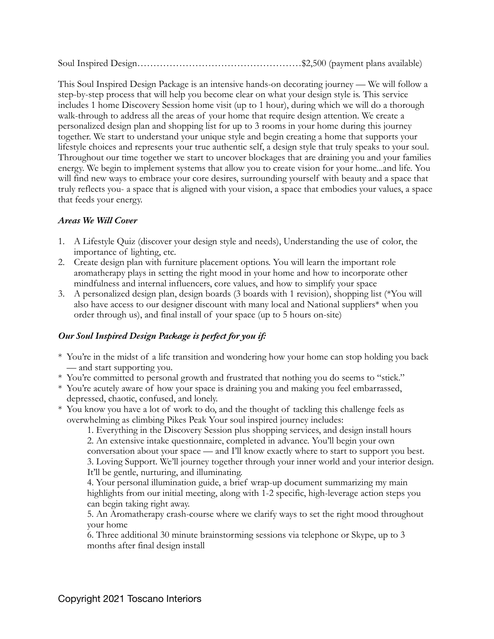Soul Inspired Design……………………………………………\$2,500 (payment plans available)

This Soul Inspired Design Package is an intensive hands-on decorating journey — We will follow a step-by-step process that will help you become clear on what your design style is. This service includes 1 home Discovery Session home visit (up to 1 hour), during which we will do a thorough walk-through to address all the areas of your home that require design attention. We create a personalized design plan and shopping list for up to 3 rooms in your home during this journey together. We start to understand your unique style and begin creating a home that supports your lifestyle choices and represents your true authentic self, a design style that truly speaks to your soul. Throughout our time together we start to uncover blockages that are draining you and your families energy. We begin to implement systems that allow you to create vision for your home...and life. You will find new ways to embrace your core desires, surrounding yourself with beauty and a space that truly reflects you- a space that is aligned with your vision, a space that embodies your values, a space that feeds your energy.

## *Areas We Will Cover*

- 1. A Lifestyle Quiz (discover your design style and needs), Understanding the use of color, the importance of lighting, etc.
- 2. Create design plan with furniture placement options. You will learn the important role aromatherapy plays in setting the right mood in your home and how to incorporate other mindfulness and internal influencers, core values, and how to simplify your space
- 3. A personalized design plan, design boards (3 boards with 1 revision), shopping list (\*You will also have access to our designer discount with many local and National suppliers\* when you order through us), and final install of your space (up to 5 hours on-site)

## *Our Soul Inspired Design Package is perfect for you if:*

- \* You're in the midst of a life transition and wondering how your home can stop holding you back — and start supporting you.
- \* You're committed to personal growth and frustrated that nothing you do seems to "stick."
- \* You're acutely aware of how your space is draining you and making you feel embarrassed, depressed, chaotic, confused, and lonely.
- \* You know you have a lot of work to do, and the thought of tackling this challenge feels as overwhelming as climbing Pikes Peak Your soul inspired journey includes:

1. Everything in the Discovery Session plus shopping services, and design install hours 2. An extensive intake questionnaire, completed in advance. You'll begin your own conversation about your space — and I'll know exactly where to start to support you best. 3. Loving Support. We'll journey together through your inner world and your interior design. It'll be gentle, nurturing, and illuminating.

4. Your personal illumination guide, a brief wrap-up document summarizing my main highlights from our initial meeting, along with 1-2 specific, high-leverage action steps you can begin taking right away.

5. An Aromatherapy crash-course where we clarify ways to set the right mood throughout your home

6. Three additional 30 minute brainstorming sessions via telephone or Skype, up to 3 months after final design install